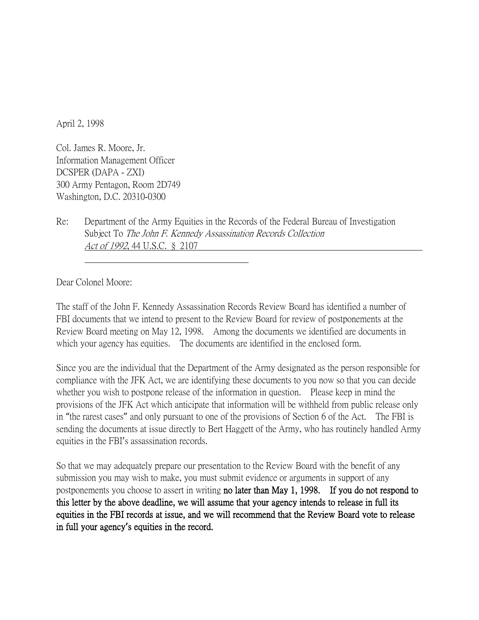April 2, 1998

Col. James R. Moore, Jr. Information Management Officer DCSPER (DAPA - ZXI) 300 Army Pentagon, Room 2D749 Washington, D.C. 20310-0300

Re: Department of the Army Equities in the Records of the Federal Bureau of Investigation Subject To *The John F. Kennedy Assassination Records Collection* Act of 1992, 44 U.S.C. § 2107

Dear Colonel Moore:

The staff of the John F. Kennedy Assassination Records Review Board has identified a number of FBI documents that we intend to present to the Review Board for review of postponements at the Review Board meeting on May 12, 1998. Among the documents we identified are documents in which your agency has equities. The documents are identified in the enclosed form.

Since you are the individual that the Department of the Army designated as the person responsible for compliance with the JFK Act, we are identifying these documents to you now so that you can decide whether you wish to postpone release of the information in question. Please keep in mind the provisions of the JFK Act which anticipate that information will be withheld from public release only in "the rarest cases" and only pursuant to one of the provisions of Section 6 of the Act. The FBI is sending the documents at issue directly to Bert Haggett of the Army, who has routinely handled Army equities in the FBI's assassination records.

So that we may adequately prepare our presentation to the Review Board with the benefit of any submission you may wish to make, you must submit evidence or arguments in support of any postponements you choose to assert in writing no later than May 1, 1998. If you do not respond to this letter by the above deadline, we will assume that your agency intends to release in full its equities in the FBI records at issue, and we will recommend that the Review Board vote to release in full your agency**'**s equities in the record.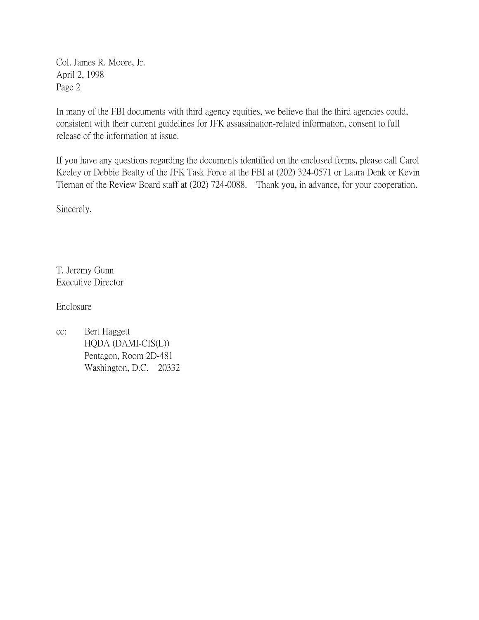Col. James R. Moore, Jr. April 2, 1998 Page 2

In many of the FBI documents with third agency equities, we believe that the third agencies could, consistent with their current guidelines for JFK assassination-related information, consent to full release of the information at issue.

If you have any questions regarding the documents identified on the enclosed forms, please call Carol Keeley or Debbie Beatty of the JFK Task Force at the FBI at (202) 324-0571 or Laura Denk or Kevin Tiernan of the Review Board staff at (202) 724-0088. Thank you, in advance, for your cooperation.

Sincerely,

T. Jeremy Gunn Executive Director

Enclosure

cc: Bert Haggett HQDA (DAMI-CIS(L)) Pentagon, Room 2D-481 Washington, D.C. 20332